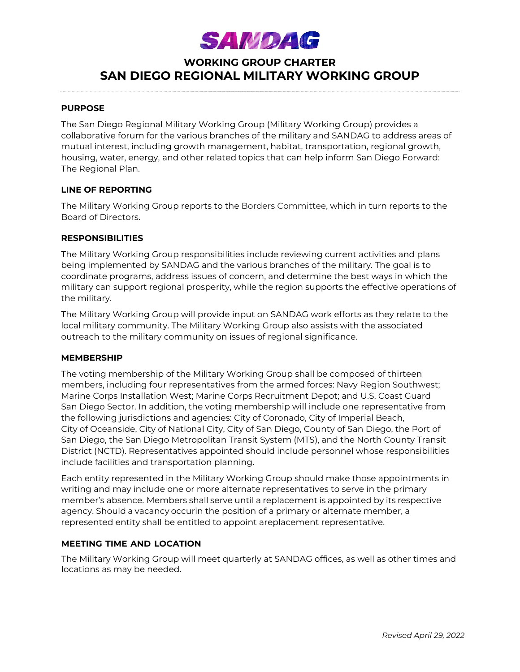# **SAMDAG**

# **WORKING GROUP CHARTER SAN DIEGO REGIONAL MILITARY WORKING GROUP**

#### **PURPOSE**

The San Diego Regional Military Working Group (Military Working Group) provides a collaborative forum for the various branches of the military and SANDAG to address areas of mutual interest, including growth management, habitat, transportation, regional growth, housing, water, energy, and other related topics that can help inform San Diego Forward: The Regional Plan.

### **LINE OF REPORTING**

The Military Working Group reports to the Borders Committee, which in turn reports to the Board of Directors.

#### **RESPONSIBILITIES**

The Military Working Group responsibilities include reviewing current activities and plans being implemented by SANDAG and the various branches of the military. The goal is to coordinate programs, address issues of concern, and determine the best ways in which the military can support regional prosperity, while the region supports the effective operations of the military.

The Military Working Group will provide input on SANDAG work efforts as they relate to the local military community. The Military Working Group also assists with the associated outreach to the military community on issues of regional significance.

#### **MEMBERSHIP**

The voting membership of the Military Working Group shall be composed of thirteen members, including four representatives from the armed forces: Navy Region Southwest; Marine Corps Installation West; Marine Corps Recruitment Depot; and U.S. Coast Guard San Diego Sector. In addition, the voting membership will include one representative from the following jurisdictions and agencies: City of Coronado, City of Imperial Beach, City of Oceanside, City of National City, City of San Diego, County of San Diego, the Port of San Diego, the San Diego Metropolitan Transit System (MTS), and the North County Transit District (NCTD). Representatives appointed should include personnel whose responsibilities include facilities and transportation planning.

Each entity represented in the Military Working Group should make those appointments in writing and may include one or more alternate representatives to serve in the primary member's absence. Members shall serve until a replacement is appointed by its respective agency. Should a vacancy occurin the position of a primary or alternate member, a represented entity shall be entitled to appoint areplacement representative.

# **MEETING TIME AND LOCATION**

The Military Working Group will meet quarterly at SANDAG offices, as well as other times and locations as may be needed.